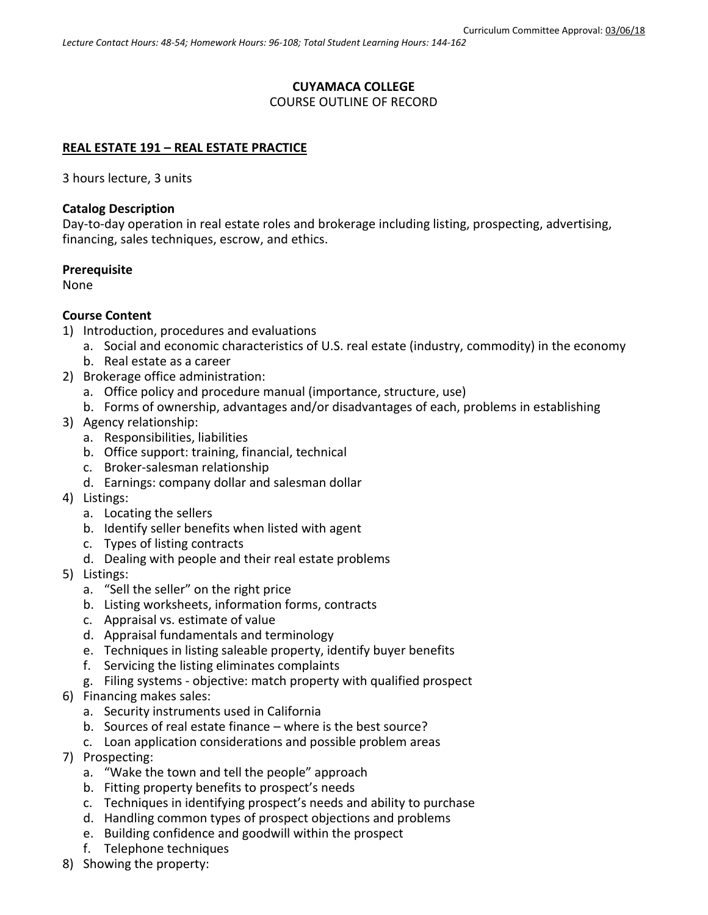### **CUYAMACA COLLEGE**

### COURSE OUTLINE OF RECORD

### **REAL ESTATE 191 – REAL ESTATE PRACTICE**

3 hours lecture, 3 units

#### **Catalog Description**

Day-to-day operation in real estate roles and brokerage including listing, prospecting, advertising, financing, sales techniques, escrow, and ethics.

#### **Prerequisite**

None

#### **Course Content**

- 1) Introduction, procedures and evaluations
	- a. Social and economic characteristics of U.S. real estate (industry, commodity) in the economy
	- b. Real estate as a career
- 2) Brokerage office administration:
	- a. Office policy and procedure manual (importance, structure, use)
	- b. Forms of ownership, advantages and/or disadvantages of each, problems in establishing
- 3) Agency relationship:
	- a. Responsibilities, liabilities
	- b. Office support: training, financial, technical
	- c. Broker-salesman relationship
	- d. Earnings: company dollar and salesman dollar
- 4) Listings:
	- a. Locating the sellers
	- b. Identify seller benefits when listed with agent
	- c. Types of listing contracts
	- d. Dealing with people and their real estate problems
- 5) Listings:
	- a. "Sell the seller" on the right price
	- b. Listing worksheets, information forms, contracts
	- c. Appraisal vs. estimate of value
	- d. Appraisal fundamentals and terminology
	- e. Techniques in listing saleable property, identify buyer benefits
	- f. Servicing the listing eliminates complaints
	- g. Filing systems objective: match property with qualified prospect
- 6) Financing makes sales:
	- a. Security instruments used in California
	- b. Sources of real estate finance where is the best source?
	- c. Loan application considerations and possible problem areas
- 7) Prospecting:
	- a. "Wake the town and tell the people" approach
	- b. Fitting property benefits to prospect's needs
	- c. Techniques in identifying prospect's needs and ability to purchase
	- d. Handling common types of prospect objections and problems
	- e. Building confidence and goodwill within the prospect
	- f. Telephone techniques
- 8) Showing the property: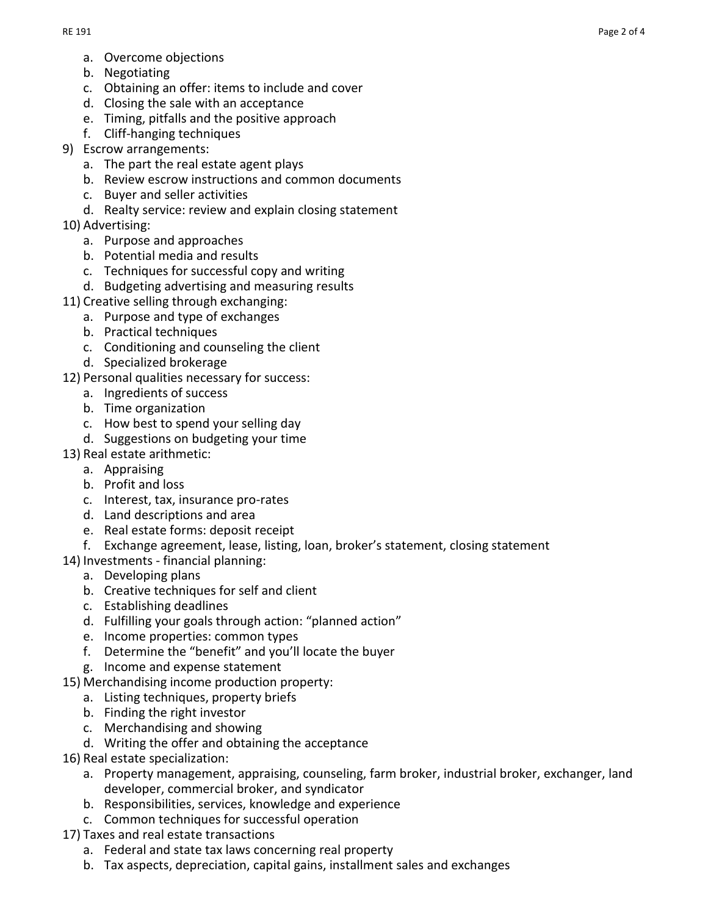- a. Overcome objections
- b. Negotiating
- c. Obtaining an offer: items to include and cover
- d. Closing the sale with an acceptance
- e. Timing, pitfalls and the positive approach
- f. Cliff-hanging techniques
- 9) Escrow arrangements:
	- a. The part the real estate agent plays
	- b. Review escrow instructions and common documents
	- c. Buyer and seller activities
	- d. Realty service: review and explain closing statement
- 10) Advertising:
	- a. Purpose and approaches
	- b. Potential media and results
	- c. Techniques for successful copy and writing
	- d. Budgeting advertising and measuring results
- 11) Creative selling through exchanging:
	- a. Purpose and type of exchanges
		- b. Practical techniques
		- c. Conditioning and counseling the client
	- d. Specialized brokerage
- 12) Personal qualities necessary for success:
	- a. Ingredients of success
	- b. Time organization
	- c. How best to spend your selling day
	- d. Suggestions on budgeting your time
- 13) Real estate arithmetic:
	- a. Appraising
	- b. Profit and loss
	- c. Interest, tax, insurance pro-rates
	- d. Land descriptions and area
	- e. Real estate forms: deposit receipt
	- f. Exchange agreement, lease, listing, loan, broker's statement, closing statement
- 14) Investments financial planning:
	- a. Developing plans
	- b. Creative techniques for self and client
	- c. Establishing deadlines
	- d. Fulfilling your goals through action: "planned action"
	- e. Income properties: common types
	- f. Determine the "benefit" and you'll locate the buyer
	- g. Income and expense statement
- 15) Merchandising income production property:
	- a. Listing techniques, property briefs
		- b. Finding the right investor
		- c. Merchandising and showing
	- d. Writing the offer and obtaining the acceptance
- 16) Real estate specialization:
	- a. Property management, appraising, counseling, farm broker, industrial broker, exchanger, land developer, commercial broker, and syndicator
	- b. Responsibilities, services, knowledge and experience
	- c. Common techniques for successful operation
- 17) Taxes and real estate transactions
	- a. Federal and state tax laws concerning real property
	- b. Tax aspects, depreciation, capital gains, installment sales and exchanges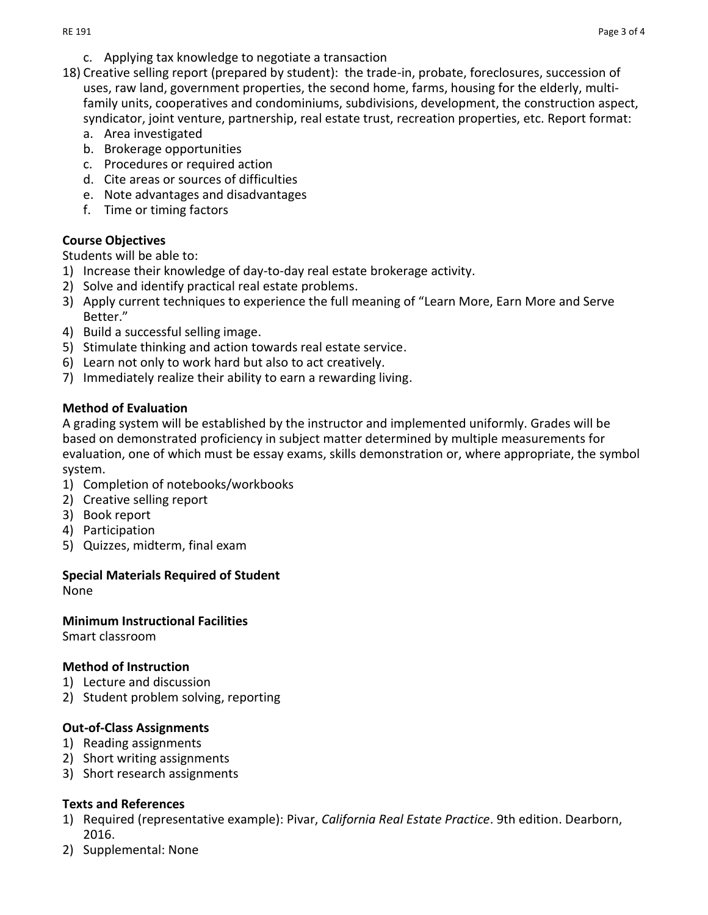- c. Applying tax knowledge to negotiate a transaction
- 18) Creative selling report (prepared by student): the trade-in, probate, foreclosures, succession of uses, raw land, government properties, the second home, farms, housing for the elderly, multifamily units, cooperatives and condominiums, subdivisions, development, the construction aspect, syndicator, joint venture, partnership, real estate trust, recreation properties, etc. Report format:
	- a. Area investigated
	- b. Brokerage opportunities
	- c. Procedures or required action
	- d. Cite areas or sources of difficulties
	- e. Note advantages and disadvantages
	- f. Time or timing factors

# **Course Objectives**

Students will be able to:

- 1) Increase their knowledge of day-to-day real estate brokerage activity.
- 2) Solve and identify practical real estate problems.
- 3) Apply current techniques to experience the full meaning of "Learn More, Earn More and Serve Better."
- 4) Build a successful selling image.
- 5) Stimulate thinking and action towards real estate service.
- 6) Learn not only to work hard but also to act creatively.
- 7) Immediately realize their ability to earn a rewarding living.

# **Method of Evaluation**

A grading system will be established by the instructor and implemented uniformly. Grades will be based on demonstrated proficiency in subject matter determined by multiple measurements for evaluation, one of which must be essay exams, skills demonstration or, where appropriate, the symbol system.

- 1) Completion of notebooks/workbooks
- 2) Creative selling report
- 3) Book report
- 4) Participation
- 5) Quizzes, midterm, final exam

# **Special Materials Required of Student**

None

## **Minimum Instructional Facilities**

Smart classroom

## **Method of Instruction**

- 1) Lecture and discussion
- 2) Student problem solving, reporting

## **Out-of-Class Assignments**

- 1) Reading assignments
- 2) Short writing assignments
- 3) Short research assignments

## **Texts and References**

- 1) Required (representative example): Pivar, *California Real Estate Practice*. 9th edition. Dearborn, 2016.
- 2) Supplemental: None